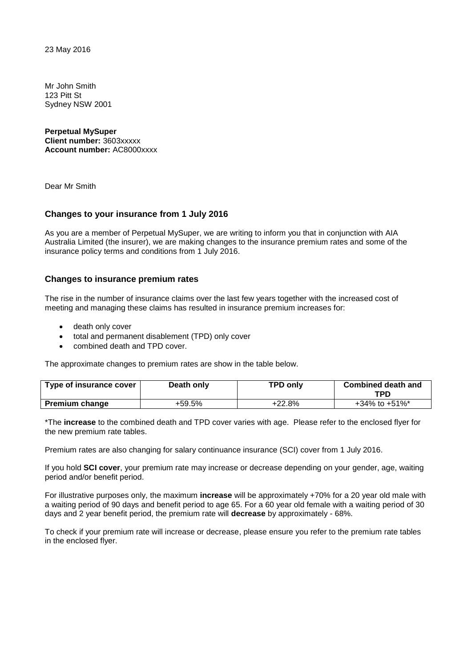Mr John Smith 123 Pitt St Sydney NSW 2001

**Perpetual MySuper Client number:** 3603xxxxx **Account number:** AC8000xxxx

Dear Mr Smith

## **Changes to your insurance from 1 July 2016**

As you are a member of Perpetual MySuper, we are writing to inform you that in conjunction with AIA Australia Limited (the insurer), we are making changes to the insurance premium rates and some of the insurance policy terms and conditions from 1 July 2016.

## **Changes to insurance premium rates**

The rise in the number of insurance claims over the last few years together with the increased cost of meeting and managing these claims has resulted in insurance premium increases for:

- death only cover
- total and permanent disablement (TPD) only cover
- combined death and TPD cover.

The approximate changes to premium rates are show in the table below.

| Type of insurance cover | Death only | <b>TPD only</b> | <b>Combined death and</b><br>TPD |
|-------------------------|------------|-----------------|----------------------------------|
| <b>Premium change</b>   | +59.5%     | $+22.8%$        | $+34\%$ to $+51\%$ <sup>*</sup>  |

\*The **increase** to the combined death and TPD cover varies with age. Please refer to the enclosed flyer for the new premium rate tables.

Premium rates are also changing for salary continuance insurance (SCI) cover from 1 July 2016.

If you hold **SCI cover**, your premium rate may increase or decrease depending on your gender, age, waiting period and/or benefit period.

For illustrative purposes only, the maximum **increase** will be approximately +70% for a 20 year old male with a waiting period of 90 days and benefit period to age 65. For a 60 year old female with a waiting period of 30 days and 2 year benefit period, the premium rate will **decrease** by approximately - 68%.

To check if your premium rate will increase or decrease, please ensure you refer to the premium rate tables in the enclosed flyer.